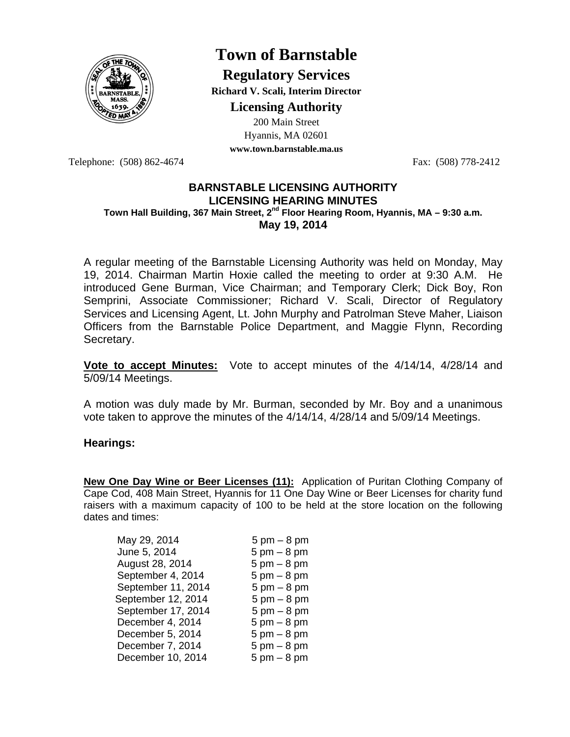

# **Town of Barnstable**

**Regulatory Services Richard V. Scali, Interim Director** 

**Licensing Authority**

200 Main Street Hyannis, MA 02601 **www.town.barnstable.ma.us**

Telephone: (508) 862-4674 Fax: (508) 778-2412

### **BARNSTABLE LICENSING AUTHORITY LICENSING HEARING MINUTES Town Hall Building, 367 Main Street, 2nd Floor Hearing Room, Hyannis, MA – 9:30 a.m. May 19, 2014**

A regular meeting of the Barnstable Licensing Authority was held on Monday, May 19, 2014. Chairman Martin Hoxie called the meeting to order at 9:30 A.M. He introduced Gene Burman, Vice Chairman; and Temporary Clerk; Dick Boy, Ron Semprini, Associate Commissioner; Richard V. Scali, Director of Regulatory Services and Licensing Agent, Lt. John Murphy and Patrolman Steve Maher, Liaison Officers from the Barnstable Police Department, and Maggie Flynn, Recording Secretary.

**Vote to accept Minutes:** Vote to accept minutes of the 4/14/14, 4/28/14 and 5/09/14 Meetings.

A motion was duly made by Mr. Burman, seconded by Mr. Boy and a unanimous vote taken to approve the minutes of the 4/14/14, 4/28/14 and 5/09/14 Meetings.

## **Hearings:**

**New One Day Wine or Beer Licenses (11):** Application of Puritan Clothing Company of Cape Cod, 408 Main Street, Hyannis for 11 One Day Wine or Beer Licenses for charity fund raisers with a maximum capacity of 100 to be held at the store location on the following dates and times:

| May 29, 2014       | $5 \text{ pm} - 8 \text{ pm}$ |
|--------------------|-------------------------------|
| June 5, 2014       | $5 \text{ pm} - 8 \text{ pm}$ |
| August 28, 2014    | $5 \text{ pm} - 8 \text{ pm}$ |
| September 4, 2014  | $5 \text{ pm} - 8 \text{ pm}$ |
| September 11, 2014 | $5 \text{ pm} - 8 \text{ pm}$ |
| September 12, 2014 | $5 \text{ pm} - 8 \text{ pm}$ |
| September 17, 2014 | $5 \text{ pm} - 8 \text{ pm}$ |
| December 4, 2014   | $5 \text{ pm} - 8 \text{ pm}$ |
| December 5, 2014   | $5 \text{ pm} - 8 \text{ pm}$ |
| December 7, 2014   | $5 \text{ pm} - 8 \text{ pm}$ |
| December 10, 2014  | $5 \text{ pm} - 8 \text{ pm}$ |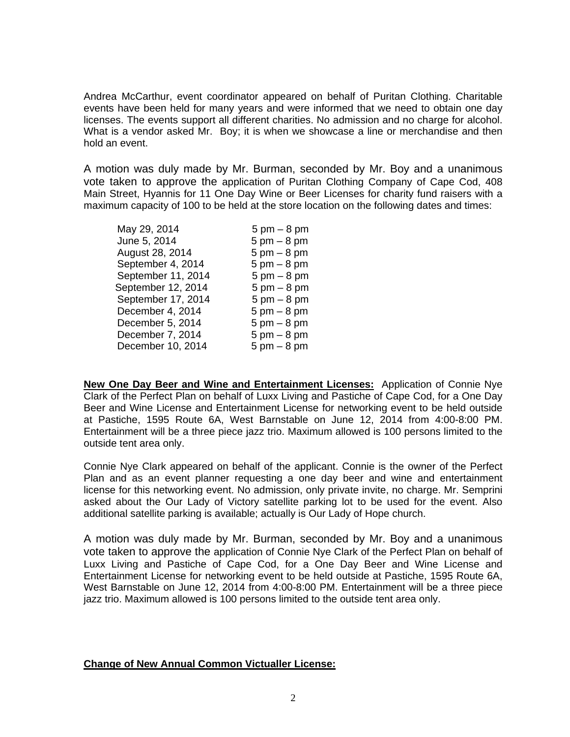Andrea McCarthur, event coordinator appeared on behalf of Puritan Clothing. Charitable events have been held for many years and were informed that we need to obtain one day licenses. The events support all different charities. No admission and no charge for alcohol. What is a vendor asked Mr. Boy; it is when we showcase a line or merchandise and then hold an event.

A motion was duly made by Mr. Burman, seconded by Mr. Boy and a unanimous vote taken to approve the application of Puritan Clothing Company of Cape Cod, 408 Main Street, Hyannis for 11 One Day Wine or Beer Licenses for charity fund raisers with a maximum capacity of 100 to be held at the store location on the following dates and times:

| $5 \text{ pm} - 8 \text{ pm}$ |
|-------------------------------|
| $5 \text{ pm} - 8 \text{ pm}$ |
| $5 \text{ pm} - 8 \text{ pm}$ |
| $5 \text{ pm} - 8 \text{ pm}$ |
| $5 \text{ pm} - 8 \text{ pm}$ |
| $5 \text{ pm} - 8 \text{ pm}$ |
| $5 \text{ pm} - 8 \text{ pm}$ |
| $5 \text{ pm} - 8 \text{ pm}$ |
| $5 \text{ pm} - 8 \text{ pm}$ |
| $5 \text{ pm} - 8 \text{ pm}$ |
| $5 \text{ pm} - 8 \text{ pm}$ |
|                               |

**New One Day Beer and Wine and Entertainment Licenses:** Application of Connie Nye Clark of the Perfect Plan on behalf of Luxx Living and Pastiche of Cape Cod, for a One Day Beer and Wine License and Entertainment License for networking event to be held outside at Pastiche, 1595 Route 6A, West Barnstable on June 12, 2014 from 4:00-8:00 PM. Entertainment will be a three piece jazz trio. Maximum allowed is 100 persons limited to the outside tent area only.

Connie Nye Clark appeared on behalf of the applicant. Connie is the owner of the Perfect Plan and as an event planner requesting a one day beer and wine and entertainment license for this networking event. No admission, only private invite, no charge. Mr. Semprini asked about the Our Lady of Victory satellite parking lot to be used for the event. Also additional satellite parking is available; actually is Our Lady of Hope church.

A motion was duly made by Mr. Burman, seconded by Mr. Boy and a unanimous vote taken to approve the application of Connie Nye Clark of the Perfect Plan on behalf of Luxx Living and Pastiche of Cape Cod, for a One Day Beer and Wine License and Entertainment License for networking event to be held outside at Pastiche, 1595 Route 6A, West Barnstable on June 12, 2014 from 4:00-8:00 PM. Entertainment will be a three piece jazz trio. Maximum allowed is 100 persons limited to the outside tent area only.

#### **Change of New Annual Common Victualler License:**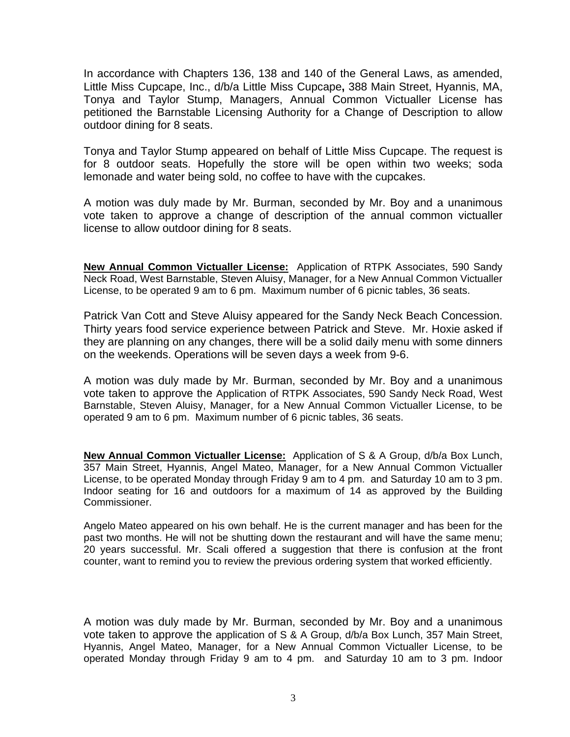In accordance with Chapters 136, 138 and 140 of the General Laws, as amended, Little Miss Cupcape, Inc., d/b/a Little Miss Cupcape**,** 388 Main Street, Hyannis, MA, Tonya and Taylor Stump, Managers, Annual Common Victualler License has petitioned the Barnstable Licensing Authority for a Change of Description to allow outdoor dining for 8 seats.

Tonya and Taylor Stump appeared on behalf of Little Miss Cupcape. The request is for 8 outdoor seats. Hopefully the store will be open within two weeks; soda lemonade and water being sold, no coffee to have with the cupcakes.

A motion was duly made by Mr. Burman, seconded by Mr. Boy and a unanimous vote taken to approve a change of description of the annual common victualler license to allow outdoor dining for 8 seats.

**New Annual Common Victualler License:** Application of RTPK Associates, 590 Sandy Neck Road, West Barnstable, Steven Aluisy, Manager, for a New Annual Common Victualler License, to be operated 9 am to 6 pm. Maximum number of 6 picnic tables, 36 seats.

Patrick Van Cott and Steve Aluisy appeared for the Sandy Neck Beach Concession. Thirty years food service experience between Patrick and Steve. Mr. Hoxie asked if they are planning on any changes, there will be a solid daily menu with some dinners on the weekends. Operations will be seven days a week from 9-6.

A motion was duly made by Mr. Burman, seconded by Mr. Boy and a unanimous vote taken to approve the Application of RTPK Associates, 590 Sandy Neck Road, West Barnstable, Steven Aluisy, Manager, for a New Annual Common Victualler License, to be operated 9 am to 6 pm. Maximum number of 6 picnic tables, 36 seats.

**New Annual Common Victualler License:** Application of S & A Group, d/b/a Box Lunch, 357 Main Street, Hyannis, Angel Mateo, Manager, for a New Annual Common Victualler License, to be operated Monday through Friday 9 am to 4 pm. and Saturday 10 am to 3 pm. Indoor seating for 16 and outdoors for a maximum of 14 as approved by the Building Commissioner.

Angelo Mateo appeared on his own behalf. He is the current manager and has been for the past two months. He will not be shutting down the restaurant and will have the same menu; 20 years successful. Mr. Scali offered a suggestion that there is confusion at the front counter, want to remind you to review the previous ordering system that worked efficiently.

A motion was duly made by Mr. Burman, seconded by Mr. Boy and a unanimous vote taken to approve the application of S & A Group, d/b/a Box Lunch, 357 Main Street, Hyannis, Angel Mateo, Manager, for a New Annual Common Victualler License, to be operated Monday through Friday 9 am to 4 pm. and Saturday 10 am to 3 pm. Indoor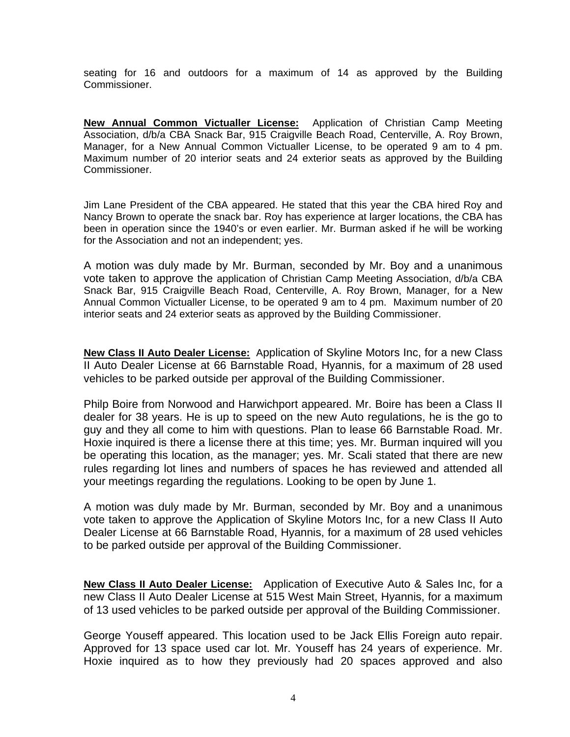seating for 16 and outdoors for a maximum of 14 as approved by the Building Commissioner.

**New Annual Common Victualler License:** Application of Christian Camp Meeting Association, d/b/a CBA Snack Bar, 915 Craigville Beach Road, Centerville, A. Roy Brown, Manager, for a New Annual Common Victualler License, to be operated 9 am to 4 pm. Maximum number of 20 interior seats and 24 exterior seats as approved by the Building Commissioner.

Jim Lane President of the CBA appeared. He stated that this year the CBA hired Roy and Nancy Brown to operate the snack bar. Roy has experience at larger locations, the CBA has been in operation since the 1940's or even earlier. Mr. Burman asked if he will be working for the Association and not an independent; yes.

A motion was duly made by Mr. Burman, seconded by Mr. Boy and a unanimous vote taken to approve the application of Christian Camp Meeting Association, d/b/a CBA Snack Bar, 915 Craigville Beach Road, Centerville, A. Roy Brown, Manager, for a New Annual Common Victualler License, to be operated 9 am to 4 pm. Maximum number of 20 interior seats and 24 exterior seats as approved by the Building Commissioner.

**New Class II Auto Dealer License:** Application of Skyline Motors Inc, for a new Class II Auto Dealer License at 66 Barnstable Road, Hyannis, for a maximum of 28 used vehicles to be parked outside per approval of the Building Commissioner.

Philp Boire from Norwood and Harwichport appeared. Mr. Boire has been a Class II dealer for 38 years. He is up to speed on the new Auto regulations, he is the go to guy and they all come to him with questions. Plan to lease 66 Barnstable Road. Mr. Hoxie inquired is there a license there at this time; yes. Mr. Burman inquired will you be operating this location, as the manager; yes. Mr. Scali stated that there are new rules regarding lot lines and numbers of spaces he has reviewed and attended all your meetings regarding the regulations. Looking to be open by June 1.

A motion was duly made by Mr. Burman, seconded by Mr. Boy and a unanimous vote taken to approve the Application of Skyline Motors Inc, for a new Class II Auto Dealer License at 66 Barnstable Road, Hyannis, for a maximum of 28 used vehicles to be parked outside per approval of the Building Commissioner.

**New Class II Auto Dealer License:** Application of Executive Auto & Sales Inc, for a new Class II Auto Dealer License at 515 West Main Street, Hyannis, for a maximum of 13 used vehicles to be parked outside per approval of the Building Commissioner.

George Youseff appeared. This location used to be Jack Ellis Foreign auto repair. Approved for 13 space used car lot. Mr. Youseff has 24 years of experience. Mr. Hoxie inquired as to how they previously had 20 spaces approved and also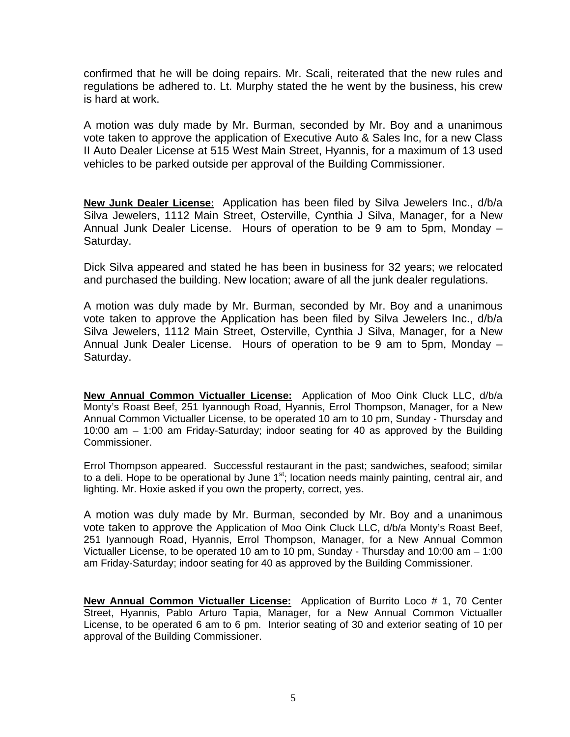confirmed that he will be doing repairs. Mr. Scali, reiterated that the new rules and regulations be adhered to. Lt. Murphy stated the he went by the business, his crew is hard at work.

A motion was duly made by Mr. Burman, seconded by Mr. Boy and a unanimous vote taken to approve the application of Executive Auto & Sales Inc, for a new Class II Auto Dealer License at 515 West Main Street, Hyannis, for a maximum of 13 used vehicles to be parked outside per approval of the Building Commissioner.

**New Junk Dealer License:** Application has been filed by Silva Jewelers Inc., d/b/a Silva Jewelers, 1112 Main Street, Osterville, Cynthia J Silva, Manager, for a New Annual Junk Dealer License. Hours of operation to be 9 am to 5pm, Monday – Saturday.

Dick Silva appeared and stated he has been in business for 32 years; we relocated and purchased the building. New location; aware of all the junk dealer regulations.

A motion was duly made by Mr. Burman, seconded by Mr. Boy and a unanimous vote taken to approve the Application has been filed by Silva Jewelers Inc., d/b/a Silva Jewelers, 1112 Main Street, Osterville, Cynthia J Silva, Manager, for a New Annual Junk Dealer License. Hours of operation to be 9 am to 5pm, Monday – Saturday.

**New Annual Common Victualler License:** Application of Moo Oink Cluck LLC, d/b/a Monty's Roast Beef, 251 Iyannough Road, Hyannis, Errol Thompson, Manager, for a New Annual Common Victualler License, to be operated 10 am to 10 pm, Sunday - Thursday and 10:00 am – 1:00 am Friday-Saturday; indoor seating for 40 as approved by the Building Commissioner.

Errol Thompson appeared. Successful restaurant in the past; sandwiches, seafood; similar to a deli. Hope to be operational by June  $1<sup>st</sup>$ ; location needs mainly painting, central air, and lighting. Mr. Hoxie asked if you own the property, correct, yes.

A motion was duly made by Mr. Burman, seconded by Mr. Boy and a unanimous vote taken to approve the Application of Moo Oink Cluck LLC, d/b/a Monty's Roast Beef, 251 Iyannough Road, Hyannis, Errol Thompson, Manager, for a New Annual Common Victualler License, to be operated 10 am to 10 pm, Sunday - Thursday and 10:00 am – 1:00 am Friday-Saturday; indoor seating for 40 as approved by the Building Commissioner.

**New Annual Common Victualler License:** Application of Burrito Loco # 1, 70 Center Street, Hyannis, Pablo Arturo Tapia, Manager, for a New Annual Common Victualler License, to be operated 6 am to 6 pm. Interior seating of 30 and exterior seating of 10 per approval of the Building Commissioner.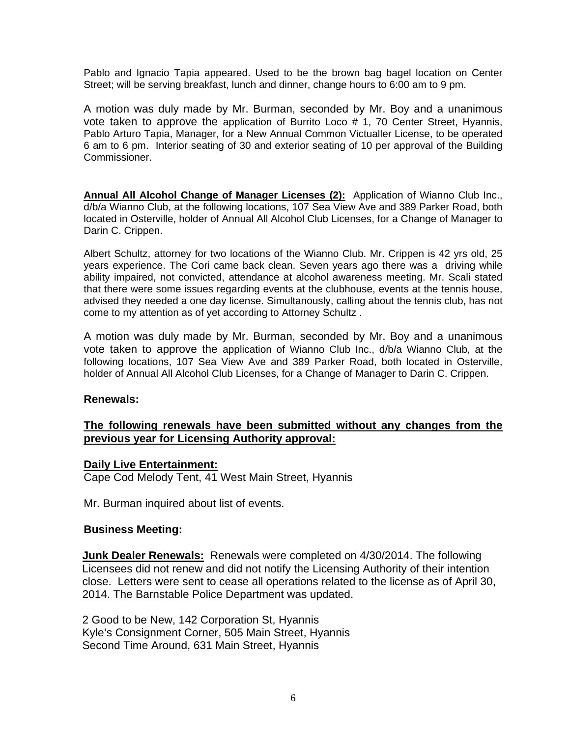Pablo and Ignacio Tapia appeared. Used to be the brown bag bagel location on Center Street; will be serving breakfast, lunch and dinner, change hours to 6:00 am to 9 pm.

A motion was duly made by Mr. Burman, seconded by Mr. Boy and a unanimous vote taken to approve the application of Burrito Loco # 1, 70 Center Street, Hyannis, Pablo Arturo Tapia, Manager, for a New Annual Common Victualler License, to be operated 6 am to 6 pm. Interior seating of 30 and exterior seating of 10 per approval of the Building Commissioner.

**Annual All Alcohol Change of Manager Licenses (2):** Application of Wianno Club Inc., d/b/a Wianno Club, at the following locations, 107 Sea View Ave and 389 Parker Road, both located in Osterville, holder of Annual All Alcohol Club Licenses, for a Change of Manager to Darin C. Crippen.

Albert Schultz, attorney for two locations of the Wianno Club. Mr. Crippen is 42 yrs old, 25 years experience. The Cori came back clean. Seven years ago there was a driving while ability impaired, not convicted, attendance at alcohol awareness meeting. Mr. Scali stated that there were some issues regarding events at the clubhouse, events at the tennis house, advised they needed a one day license. Simultanously, calling about the tennis club, has not come to my attention as of yet according to Attorney Schultz .

A motion was duly made by Mr. Burman, seconded by Mr. Boy and a unanimous vote taken to approve the application of Wianno Club Inc., d/b/a Wianno Club, at the following locations, 107 Sea View Ave and 389 Parker Road, both located in Osterville, holder of Annual All Alcohol Club Licenses, for a Change of Manager to Darin C. Crippen.

#### **Renewals:**

## **The following renewals have been submitted without any changes from the previous year for Licensing Authority approval:**

#### **Daily Live Entertainment:**

Cape Cod Melody Tent, 41 West Main Street, Hyannis

Mr. Burman inquired about list of events.

#### **Business Meeting:**

 **Junk Dealer Renewals:** Renewals were completed on 4/30/2014. The following Licensees did not renew and did not notify the Licensing Authority of their intention close. Letters were sent to cease all operations related to the license as of April 30, 2014. The Barnstable Police Department was updated.

 2 Good to be New, 142 Corporation St, Hyannis Kyle's Consignment Corner, 505 Main Street, Hyannis Second Time Around, 631 Main Street, Hyannis